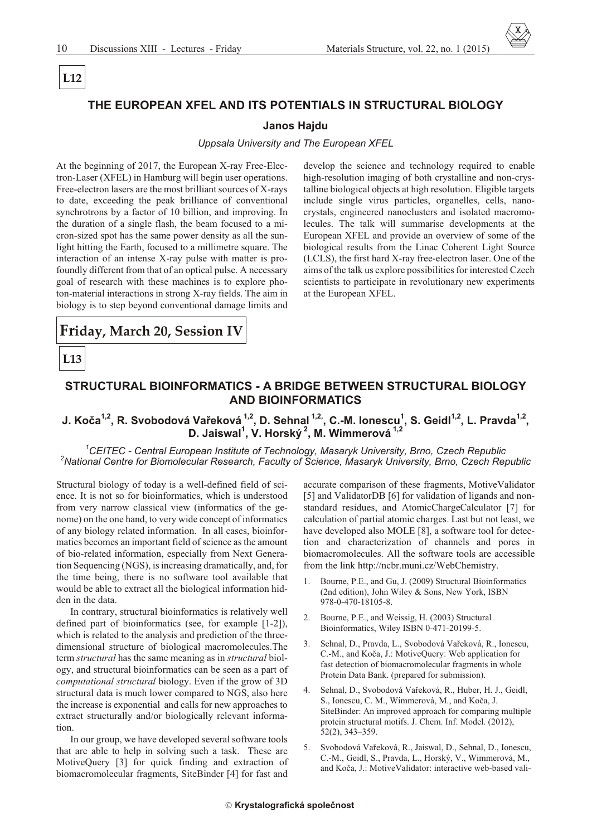# **L12**

## **THE EUROPEAN XFEL AND ITS POTENTIALS IN STRUCTURAL BIOLOGY**

#### **Janos Hajdu**

#### *Uppsala University and The European XFEL*

At the beginning of 2017, the European X-ray Free-Electron-Laser (XFEL) in Hamburg will begin user operations. Free-electron lasers are the most brilliant sources of X-rays to date, exceeding the peak brilliance of conventional synchrotrons by a factor of 10 billion, and improving. In the duration of a single flash, the beam focused to a micron-sized spot has the same power density as all the sunlight hitting the Earth, focused to a millimetre square. The interaction of an intense X-ray pulse with matter is profoundly different from that of an optical pulse. A necessary goal of research with these machines is to explore photon-material interactions in strong X-ray fields. The aim in biology is to step beyond conventional damage limits and develop the science and technology required to enable high-resolution imaging of both crystalline and non-crystalline biological objects at high resolution. Eligible targets include single virus particles, organelles, cells, nanocrystals, engineered nanoclusters and isolated macromolecules. The talk will summarise developments at the European XFEL and provide an overview of some of the biological results from the Linac Coherent Light Source (LCLS), the first hard X-ray free-electron laser. One of the aims of the talk us explore possibilities for interested Czech scientists to participate in revolutionary new experiments at the European XFEL.

## **Friday, March 20, Session IV**

## **L13**

## **STRUCTURAL BIOINFORMATICS - A BRIDGE BETWEEN STRUCTURAL BIOLOGY AND BIOINFORMATICS**

## **J. Koèa1,2, R. Svobodová Vaøeková 1,2, D. Sehnal 1,2,, C.-M. Ionescu<sup>1</sup> , S. Geidl1,2, L. Pravda1,2 , D. Jaiswal<sup>1</sup> , V. Horský<sup>2</sup>, M. Wimmerová 1,2**

<sup>1</sup>CEITEC - Central European Institute of Technology, Masaryk University, Brno, Czech Republic <sup>2</sup> National Centre for Biomolecular Research, Faculty of Science, Masaryk University, Brno, Czech Republic

Structural biology of today is a well-defined field of science. It is not so for bioinformatics, which is understood from very narrow classical view (informatics of the genome) on the one hand, to very wide concept of informatics of any biology related information. In all cases, bioinformatics becomes an important field of science as the amount of bio-related information, especially from Next Generation Sequencing (NGS), is increasing dramatically, and, for the time being, there is no software tool available that would be able to extract all the biological information hidden in the data.

In contrary, structural bioinformatics is relatively well defined part of bioinformatics (see, for example  $[1-2]$ ), which is related to the analysis and prediction of the threedimensional structure of biological macromolecules. The term *structural* has the same meaning as in *structural* biology, and structural bioinformatics can be seen as a part of *computational structural* biology. Even if the grow of 3D structural data is much lower compared to NGS, also here the increase is exponential and calls for new approaches to extract structurally and/or biologically relevant information.

In our group, we have developed several software tools that are able to help in solving such a task. These are MotiveQuery [3] for quick finding and extraction of biomacromolecular fragments, SiteBinder [4] for fast and

accurate comparison of these fragments, MotiveValidator [5] and ValidatorDB [6] for validation of ligands and nonstandard residues, and AtomicChargeCalculator [7] for calculation of partial atomic charges. Last but not least, we have developed also MOLE [8], a software tool for detection and characterization of channels and pores in biomacromolecules. All the software tools are accessible from the link http://ncbr.muni.cz/WebChemistry.

- 1. Bourne, P.E., and Gu, J. (2009) Structural Bioinformatics (2nd edition), John Wiley & Sons, New York, ISBN 978-0-470-18105-8.
- 2. Bourne, P.E., and Weissig, H. (2003) Structural Bioinformatics, Wiley ISBN 0-471-20199-5.
- 3. Sehnal, D., Pravda, L., Svobodová Vařeková, R., Ionescu, C.-M., and Koča, J.: MotiveQuery: Web application for fast detection of biomacromolecular fragments in whole Protein Data Bank. (prepared for submission).
- 4. Sehnal, D., Svobodová Vařeková, R., Huber, H. J., Geidl, S., Ionescu, C. M., Wimmerová, M., and Koča, J. SiteBinder: An improved approach for comparing multiple protein structural motifs. J. Chem. Inf. Model. (2012), 52(2), 343–359.
- 5. Svobodová Vařeková, R., Jaiswal, D., Sehnal, D., Ionescu, C.-M., Geidl, S., Pravda, L., Horský, V., Wimmerová, M., and Koča, J.: MotiveValidator: interactive web-based vali-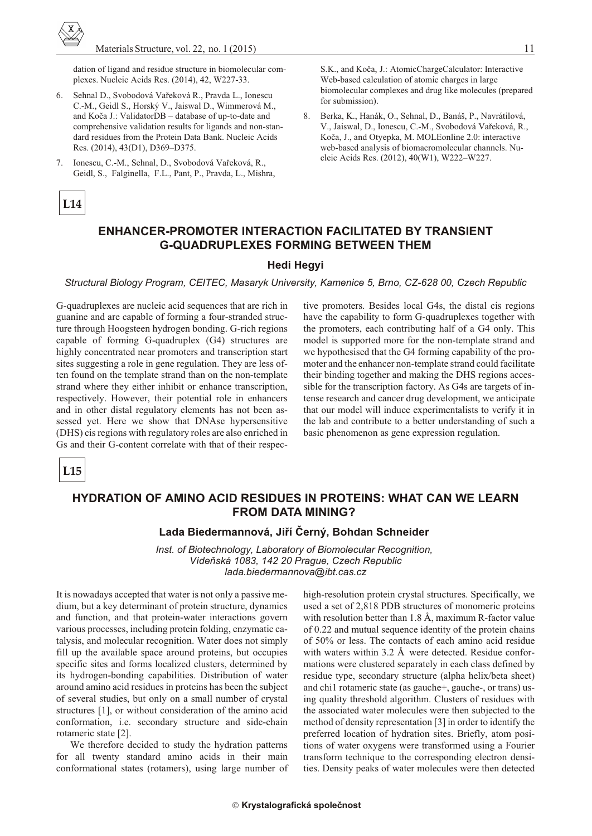dation of ligand and residue structure in biomolecular complexes. Nucleic Acids Res. (2014), 42, W227-33.

- 6. Sehnal D., Svobodová Vaøeková R., Pravda L., Ionescu C.-M., Geidl S., Horský V., Jaiswal D., Wimmerová M., and Koča J.: ValidatorDB - database of up-to-date and comprehensive validation results for ligands and non-standard residues from the Protein Data Bank. Nucleic Acids Res. (2014), 43(D1), D369–D375.
- 7. Ionescu, C.-M., Sehnal, D., Svobodová Vařeková, R., Geidl, S., Falginella, F.L., Pant, P., Pravda, L., Mishra,

S.K., and Koča, J.: AtomicChargeCalculator: Interactive Web-based calculation of atomic charges in large biomolecular complexes and drug like molecules (prepared for submission).

8. Berka, K., Hanák, O., Sehnal, D., Banáš, P., Navrátilová, V., Jaiswal, D., Ionescu, C.-M., Svobodová Vařeková, R., Koča, J., and Otyepka, M. MOLEonline 2.0: interactive web-based analysis of biomacromolecular channels. Nucleic Acids Res. (2012), 40(W1), W222-W227.

### **ENHANCER-PROMOTER INTERACTION FACILITATED BY TRANSIENT G-QUADRUPLEXES FORMING BETWEEN THEM**

#### **Hedi Hegyi**

*Structural Biology Program, CEITEC, Masaryk University, Kamenice 5, Brno, CZ-628 00, Czech Republic* 

G-quadruplexes are nucleic acid sequences that are rich in guanine and are capable of forming a four-stranded structure through Hoogsteen hydrogen bonding. G-rich regions capable of forming G-quadruplex (G4) structures are highly concentrated near promoters and transcription start sites suggesting a role in gene regulation. They are less often found on the template strand than on the non-template strand where they either inhibit or enhance transcription, respectively. However, their potential role in enhancers and in other distal regulatory elements has not been assessed yet. Here we show that DNAse hypersensitive (DHS) cis regions with regulatory roles are also enriched in Gs and their G-content correlate with that of their respec-

tive promoters. Besides local G4s, the distal cis regions have the capability to form G-quadruplexes together with the promoters, each contributing half of a G4 only. This model is supported more for the non-template strand and we hypothesised that the G4 forming capability of the promoter and the enhancer non-template strand could facilitate their binding together and making the DHS regions accessible for the transcription factory. As G4s are targets of intense research and cancer drug development, we anticipate that our model will induce experimentalists to verify it in the lab and contribute to a better understanding of such a basic phenomenon as gene expression regulation.

**L15**

## **HYDRATION OF AMINO ACID RESIDUES IN PROTEINS: WHAT CAN WE LEARN FROM DATA MINING?**

#### Lada Biedermannová, Jiří Černý, Bohdan Schneider

*Inst. of Biotechnology, Laboratory of Biomolecular Recognition.* Vídeňská 1083, 142 20 Prague, Czech Republic *lada.biedermannova@ibt.cas.cz*

It is nowadays accepted that water is not only a passive medium, but a key determinant of protein structure, dynamics and function, and that protein-water interactions govern various processes, including protein folding, enzymatic catalysis, and molecular recognition. Water does not simply fill up the available space around proteins, but occupies specific sites and forms localized clusters, determined by its hydrogen-bonding capabilities. Distribution of water around amino acid residues in proteins has been the subject of several studies, but only on a small number of crystal structures [1], or without consideration of the amino acid conformation, i.e. secondary structure and side-chain rotameric state [2].

We therefore decided to study the hydration patterns for all twenty standard amino acids in their main conformational states (rotamers), using large number of high-resolution protein crystal structures. Specifically, we used a set of 2,818 PDB structures of monomeric proteins with resolution better than  $1.8 \text{ Å}$ , maximum R-factor value of 0.22 and mutual sequence identity of the protein chains of  $50\%$  or less. The contacts of each amino acid residue with waters within  $3.2 \text{ Å}$  were detected. Residue conformations were clustered separately in each class defined by residue type, secondary structure (alpha helix/beta sheet) and chi1 rotameric state (as gauche+, gauche-, or trans) us ing quality threshold algorithm. Clusters of residues with the associated water molecules were then subjected to the method of density representation  $[3]$  in order to identify the preferred location of hydration sites. Briefly, atom positions of water oxygens were transformed using a Fourier transform technique to the corresponding electron densities. Density peaks of water molecules were then detected

**L14**